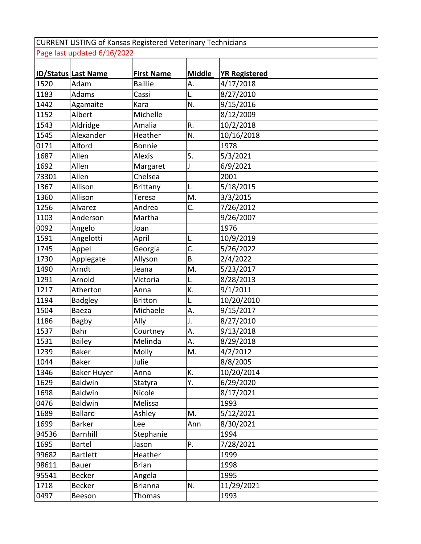CURRENT LISTING of Kansas Registered Veterinary Technicians

|       | Page last updated 6/16/2022 |                   |                           |                      |
|-------|-----------------------------|-------------------|---------------------------|----------------------|
|       | <b>ID/Status Last Name</b>  | <b>First Name</b> | <b>Middle</b>             | <b>YR Registered</b> |
| 1520  | Adam                        | <b>Baillie</b>    | А.                        | 4/17/2018            |
| 1183  | Adams                       | Cassi             | L.                        | 8/27/2010            |
| 1442  | Agamaite                    | Kara              | N.                        | 9/15/2016            |
| 1152  | Albert                      | Michelle          |                           | 8/12/2009            |
| 1543  | Aldridge                    | Amalia            | R.                        | 10/2/2018            |
| 1545  | Alexander                   | Heather           | N.                        | 10/16/2018           |
| 0171  | Alford                      | <b>Bonnie</b>     |                           | 1978                 |
| 1687  | Allen                       | Alexis            | S.                        | 5/3/2021             |
| 1692  | Allen                       | Margaret          |                           | 6/9/2021             |
| 73301 | Allen                       | Chelsea           |                           | 2001                 |
| 1367  | Allison                     | <b>Brittany</b>   | L.                        | 5/18/2015            |
| 1360  | Allison                     | Teresa            | M.                        | 3/3/2015             |
| 1256  | Alvarez                     | Andrea            | C.                        | 7/26/2012            |
| 1103  | Anderson                    | Martha            |                           | 9/26/2007            |
| 0092  | Angelo                      | Joan              |                           | 1976                 |
| 1591  | Angelotti                   | April             | L.                        | 10/9/2019            |
| 1745  | Appel                       | Georgia           | $\overline{\mathsf{C}}$ . | 5/26/2022            |
| 1730  | Applegate                   | Allyson           | <b>B.</b>                 | 2/4/2022             |
| 1490  | Arndt                       | Jeana             | M.                        | 5/23/2017            |
| 1291  | Arnold                      | Victoria          | L.                        | 8/28/2013            |
| 1217  | Atherton                    | Anna              | K.                        | 9/1/2011             |
| 1194  | <b>Badgley</b>              | <b>Britton</b>    | L.                        | 10/20/2010           |
| 1504  | <b>Baeza</b>                | Michaele          | А.                        | 9/15/2017            |
| 1186  | <b>Bagby</b>                | Ally              | J.                        | 8/27/2010            |
| 1537  | Bahr                        | Courtney          | Α.                        | 9/13/2018            |
| 1531  | <b>Bailey</b>               | Melinda           | А.                        | 8/29/2018            |
| 1239  | <b>Baker</b>                | Molly             | M.                        | 4/2/2012             |
| 1044  | <b>Baker</b>                | Julie             |                           | 8/8/2005             |
| 1346  | <b>Baker Huyer</b>          | Anna              | K.                        | 10/20/2014           |
| 1629  | <b>Baldwin</b>              | Statyra           | Υ.                        | 6/29/2020            |
| 1698  | Baldwin                     | Nicole            |                           | 8/17/2021            |
| 0476  | <b>Baldwin</b>              | Melissa           |                           | 1993                 |
| 1689  | <b>Ballard</b>              | Ashley            | M.                        | 5/12/2021            |
| 1699  | <b>Barker</b>               | Lee               | Ann                       | 8/30/2021            |
| 94536 | <b>Barnhill</b>             | Stephanie         |                           | 1994                 |
| 1695  | <b>Bartel</b>               | Jason             | P.                        | 7/28/2021            |
| 99682 | <b>Bartlett</b>             | Heather           |                           | 1999                 |
| 98611 | <b>Bauer</b>                | <b>Brian</b>      |                           | 1998                 |
| 95541 | <b>Becker</b>               | Angela            |                           | 1995                 |
| 1718  | <b>Becker</b>               | <b>Brianna</b>    | N.                        | 11/29/2021           |
| 0497  | Beeson                      | Thomas            |                           | 1993                 |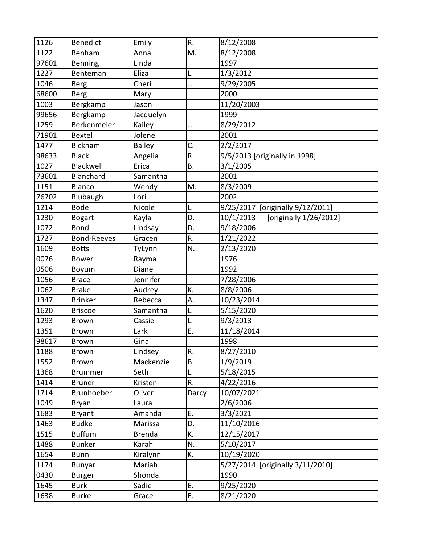| 1126  | <b>Benedict</b>    | Emily         | R.    | 8/12/2008                           |
|-------|--------------------|---------------|-------|-------------------------------------|
| 1122  | Benham             | Anna          | M.    | 8/12/2008                           |
| 97601 | Benning            | Linda         |       | 1997                                |
| 1227  | Benteman           | Eliza         | L.    | 1/3/2012                            |
| 1046  | <b>Berg</b>        | Cheri         | J.    | 9/29/2005                           |
| 68600 | <b>Berg</b>        | Mary          |       | 2000                                |
| 1003  | Bergkamp           | Jason         |       | 11/20/2003                          |
| 99656 | Bergkamp           | Jacquelyn     |       | 1999                                |
| 1259  | Berkenmeier        | Kailey        | J.    | 8/29/2012                           |
| 71901 | <b>Bextel</b>      | Jolene        |       | 2001                                |
| 1477  | <b>Bickham</b>     | <b>Bailey</b> | C.    | 2/2/2017                            |
| 98633 | <b>Black</b>       | Angelia       | R.    | 9/5/2013 [originally in 1998]       |
| 1027  | Blackwell          | Erica         | Β.    | 3/1/2005                            |
| 73601 | Blanchard          | Samantha      |       | 2001                                |
| 1151  | <b>Blanco</b>      | Wendy         | M.    | 8/3/2009                            |
| 76702 | Blubaugh           | Lori          |       | 2002                                |
| 1214  | <b>Bode</b>        | Nicole        | L.    | 9/25/2017 [originally 9/12/2011]    |
| 1230  | <b>Bogart</b>      | Kayla         | D.    | [originally 1/26/2012]<br>10/1/2013 |
| 1072  | <b>Bond</b>        | Lindsay       | D.    | 9/18/2006                           |
| 1727  | <b>Bond-Reeves</b> | Gracen        | R.    | 1/21/2022                           |
| 1609  | <b>Botts</b>       | TyLynn        | N.    | 2/13/2020                           |
| 0076  | <b>Bower</b>       | Rayma         |       | 1976                                |
| 0506  | Boyum              | Diane         |       | 1992                                |
| 1056  | <b>Brace</b>       | Jennifer      |       | 7/28/2006                           |
| 1062  | <b>Brake</b>       | Audrey        | K.    | 8/8/2006                            |
| 1347  | <b>Brinker</b>     | Rebecca       | Α.    | 10/23/2014                          |
| 1620  | <b>Briscoe</b>     | Samantha      | L.    | 5/15/2020                           |
| 1293  | <b>Brown</b>       | Cassie        | L.    | 9/3/2013                            |
| 1351  | <b>Brown</b>       | Lark          | E.    | 11/18/2014                          |
| 98617 | <b>Brown</b>       | Gina          |       | 1998                                |
| 1188  | <b>Brown</b>       | Lindsey       | R.    | 8/27/2010                           |
| 1552  | <b>Brown</b>       | Mackenzie     | Β.    | 1/9/2019                            |
| 1368  | <b>Brummer</b>     | Seth          | L.    | 5/18/2015                           |
| 1414  | <b>Bruner</b>      | Kristen       | R.    | 4/22/2016                           |
| 1714  | Brunhoeber         | Oliver        | Darcy | 10/07/2021                          |
| 1049  | <b>Bryan</b>       | Laura         |       | 2/6/2006                            |
| 1683  | <b>Bryant</b>      | Amanda        | Ε.    | 3/3/2021                            |
| 1463  | <b>Budke</b>       | Marissa       | D.    | 11/10/2016                          |
| 1515  | <b>Buffum</b>      | <b>Brenda</b> | К.    | 12/15/2017                          |
| 1488  | <b>Bunker</b>      | Karah         | N.    | 5/10/2017                           |
| 1654  | <b>Bunn</b>        | Kiralynn      | К.    | 10/19/2020                          |
| 1174  | <b>Bunyar</b>      | Mariah        |       | 5/27/2014 [originally 3/11/2010]    |
| 0430  | <b>Burger</b>      | Shonda        |       | 1990                                |
| 1645  | <b>Burk</b>        | Sadie         | E.    | 9/25/2020                           |
| 1638  | <b>Burke</b>       | Grace         | Е.    | 8/21/2020                           |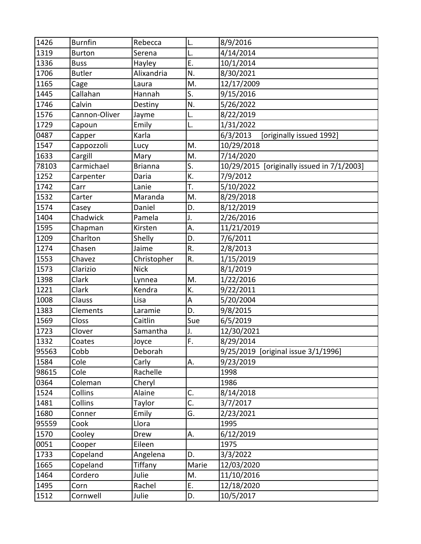| 1426  | <b>Burnfin</b> | Rebecca        | L.                        | 8/9/2016                                   |
|-------|----------------|----------------|---------------------------|--------------------------------------------|
| 1319  | <b>Burton</b>  | Serena         | L.                        | 4/14/2014                                  |
| 1336  | <b>Buss</b>    | Hayley         | E.                        | 10/1/2014                                  |
| 1706  | <b>Butler</b>  | Alixandria     | N.                        | 8/30/2021                                  |
| 1165  | Cage           | Laura          | M.                        | 12/17/2009                                 |
| 1445  | Callahan       | Hannah         | S.                        | 9/15/2016                                  |
| 1746  | Calvin         | Destiny        | N.                        | 5/26/2022                                  |
| 1576  | Cannon-Oliver  | Jayme          | L.                        | 8/22/2019                                  |
| 1729  | Capoun         | Emily          | L.                        | 1/31/2022                                  |
| 0487  | Capper         | Karla          |                           | 6/3/2013<br>[originally issued 1992]       |
| 1547  | Cappozzoli     | Lucy           | M.                        | 10/29/2018                                 |
| 1633  | Cargill        | Mary           | M.                        | 7/14/2020                                  |
| 78103 | Carmichael     | <b>Brianna</b> | S.                        | 10/29/2015 [originally issued in 7/1/2003] |
| 1252  | Carpenter      | Daria          | K.                        | 7/9/2012                                   |
| 1742  | Carr           | Lanie          | T.                        | 5/10/2022                                  |
| 1532  | Carter         | Maranda        | M.                        | 8/29/2018                                  |
| 1574  | Casey          | Daniel         | D.                        | 8/12/2019                                  |
| 1404  | Chadwick       | Pamela         | J.                        | 2/26/2016                                  |
| 1595  | Chapman        | Kirsten        | Α.                        | 11/21/2019                                 |
| 1209  | Charlton       | Shelly         | D.                        | 7/6/2011                                   |
| 1274  | Chasen         | Jaime          | R.                        | 2/8/2013                                   |
| 1553  | Chavez         | Christopher    | R.                        | 1/15/2019                                  |
| 1573  | Clarizio       | <b>Nick</b>    |                           | 8/1/2019                                   |
| 1398  | Clark          | Lynnea         | M.                        | 1/22/2016                                  |
| 1221  | Clark          | Kendra         | K.                        | 9/22/2011                                  |
| 1008  | <b>Clauss</b>  | Lisa           | A                         | 5/20/2004                                  |
| 1383  | Clements       | Laramie        | D.                        | 9/8/2015                                   |
| 1569  | Closs          | Caitlin        | Sue                       | 6/5/2019                                   |
| 1723  | Clover         | Samantha       | J.                        | 12/30/2021                                 |
| 1332  | Coates         | Joyce          | F.                        | 8/29/2014                                  |
| 95563 | Cobb           | Deborah        |                           | 9/25/2019 [original issue 3/1/1996]        |
| 1584  | Cole           | Carly          | А.                        | 9/23/2019                                  |
| 98615 | Cole           | Rachelle       |                           | 1998                                       |
| 0364  | Coleman        | Cheryl         |                           | 1986                                       |
| 1524  | Collins        | Alaine         | C.                        | 8/14/2018                                  |
| 1481  | Collins        | Taylor         | $\overline{\mathsf{C}}$ . | 3/7/2017                                   |
| 1680  | Conner         | Emily          | G.                        | 2/23/2021                                  |
| 95559 | Cook           | Llora          |                           | 1995                                       |
| 1570  | Cooley         | Drew           | А.                        | 6/12/2019                                  |
| 0051  | Cooper         | Eileen         |                           | 1975                                       |
| 1733  | Copeland       | Angelena       | D.                        | 3/3/2022                                   |
| 1665  | Copeland       | Tiffany        | Marie                     | 12/03/2020                                 |
| 1464  | Cordero        | Julie          | M.                        | 11/10/2016                                 |
| 1495  | Corn           | Rachel         | E.                        | 12/18/2020                                 |
| 1512  | Cornwell       | Julie          | D.                        | 10/5/2017                                  |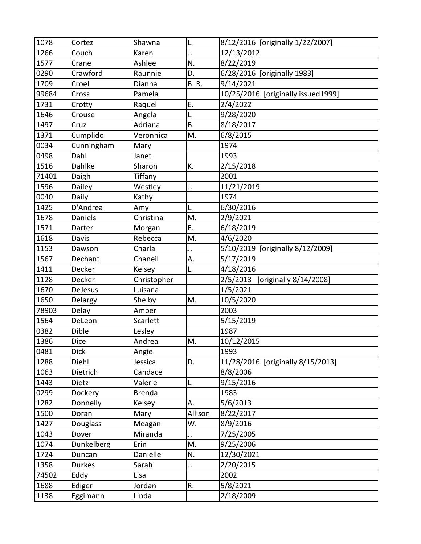| 1078  | Cortez        | Shawna        | L.          | 8/12/2016 [originally 1/22/2007]   |
|-------|---------------|---------------|-------------|------------------------------------|
| 1266  | Couch         | Karen         | J.          | 12/13/2012                         |
| 1577  | Crane         | Ashlee        | N.          | 8/22/2019                          |
| 0290  | Crawford      | Raunnie       | D.          | 6/28/2016 [originally 1983]        |
| 1709  | Croel         | Dianna        | <b>B.R.</b> | 9/14/2021                          |
| 99684 | Cross         | Pamela        |             | 10/25/2016 [originally issued1999] |
| 1731  | Crotty        | Raquel        | Ε.          | 2/4/2022                           |
| 1646  | Crouse        | Angela        | L.          | 9/28/2020                          |
| 1497  | Cruz          | Adriana       | Β.          | 8/18/2017                          |
| 1371  | Cumplido      | Veronnica     | M.          | 6/8/2015                           |
| 0034  | Cunningham    | Mary          |             | 1974                               |
| 0498  | Dahl          | Janet         |             | 1993                               |
| 1516  | Dahlke        | Sharon        | K.          | 2/15/2018                          |
| 71401 | Daigh         | Tiffany       |             | 2001                               |
| 1596  | Dailey        | Westley       | J.          | 11/21/2019                         |
| 0040  | Daily         | Kathy         |             | 1974                               |
| 1425  | D'Andrea      | Amy           | L.          | 6/30/2016                          |
| 1678  | Daniels       | Christina     | M.          | 2/9/2021                           |
| 1571  | Darter        | Morgan        | E.          | 6/18/2019                          |
| 1618  | Davis         | Rebecca       | M.          | 4/6/2020                           |
| 1153  | Dawson        | Charla        | J.          | 5/10/2019 [originally 8/12/2009]   |
| 1567  | Dechant       | Chaneil       | А.          | 5/17/2019                          |
| 1411  | Decker        | Kelsey        | L.          | 4/18/2016                          |
| 1128  | Decker        | Christopher   |             | 2/5/2013 [originally 8/14/2008]    |
| 1670  | DeJesus       | Luisana       |             | 1/5/2021                           |
| 1650  | Delargy       | Shelby        | M.          | 10/5/2020                          |
| 78903 | Delay         | Amber         |             | 2003                               |
| 1564  | DeLeon        | Scarlett      |             | 5/15/2019                          |
| 0382  | Dible         | Lesley        |             | 1987                               |
| 1386  | <b>Dice</b>   | Andrea        | M.          | 10/12/2015                         |
| 0481  | <b>Dick</b>   | Angie         |             | 1993                               |
| 1288  | Diehl         | Jessica       | D.          | 11/28/2016 [originally 8/15/2013]  |
| 1063  | Dietrich      | Candace       |             | 8/8/2006                           |
| 1443  | <b>Dietz</b>  | Valerie       | L.          | 9/15/2016                          |
| 0299  | Dockery       | <b>Brenda</b> |             | 1983                               |
| 1282  | Donnelly      | Kelsey        | А.          | 5/6/2013                           |
| 1500  | Doran         | Mary          | Allison     | 8/22/2017                          |
| 1427  | Douglass      | Meagan        | W.          | 8/9/2016                           |
| 1043  | Dover         | Miranda       | J.          | 7/25/2005                          |
| 1074  | Dunkelberg    | Erin          | M.          | 9/25/2006                          |
| 1724  | Duncan        | Danielle      | N.          | 12/30/2021                         |
| 1358  | <b>Durkes</b> | Sarah         | J.          | 2/20/2015                          |
| 74502 | Eddy          | Lisa          |             | 2002                               |
| 1688  | Ediger        | Jordan        | R.          | 5/8/2021                           |
| 1138  | Eggimann      | Linda         |             | 2/18/2009                          |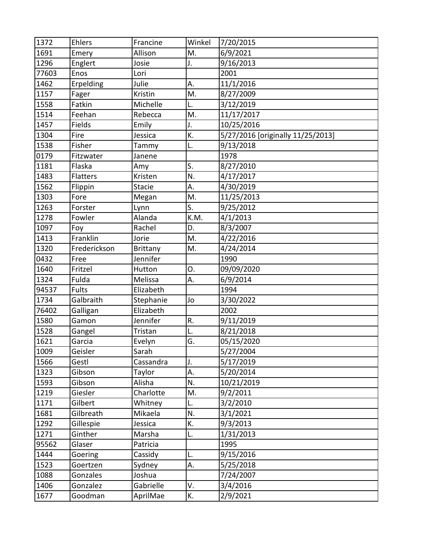| 1372  | Ehlers          | Francine        | Winkel | 7/20/2015                         |
|-------|-----------------|-----------------|--------|-----------------------------------|
| 1691  | Emery           | Allison         | M.     | 6/9/2021                          |
| 1296  | Englert         | Josie           | J.     | 9/16/2013                         |
| 77603 | Enos            | Lori            |        | 2001                              |
| 1462  | Erpelding       | Julie           | А.     | 11/1/2016                         |
| 1157  | Fager           | Kristin         | M.     | 8/27/2009                         |
| 1558  | Fatkin          | Michelle        | L.     | 3/12/2019                         |
| 1514  | Feehan          | Rebecca         | M.     | 11/17/2017                        |
| 1457  | Fields          | Emily           | J.     | 10/25/2016                        |
| 1304  | Fire            | Jessica         | K.     | 5/27/2016 [originally 11/25/2013] |
| 1538  | Fisher          | Tammy           | L.     | 9/13/2018                         |
| 0179  | Fitzwater       | Janene          |        | 1978                              |
| 1181  | Flaska          | Amy             | S.     | 8/27/2010                         |
| 1483  | <b>Flatters</b> | Kristen         | N.     | 4/17/2017                         |
| 1562  | Flippin         | <b>Stacie</b>   | Α.     | 4/30/2019                         |
| 1303  | Fore            | Megan           | M.     | 11/25/2013                        |
| 1263  | Forster         | Lynn            | S.     | 9/25/2012                         |
| 1278  | Fowler          | Alanda          | K.M.   | 4/1/2013                          |
| 1097  | Foy             | Rachel          | D.     | 8/3/2007                          |
| 1413  | Franklin        | Jorie           | M.     | 4/22/2016                         |
| 1320  | Frederickson    | <b>Brittany</b> | M.     | 4/24/2014                         |
| 0432  | Free            | Jennifer        |        | 1990                              |
| 1640  | Fritzel         | Hutton          | 0.     | 09/09/2020                        |
| 1324  | Fulda           | Melissa         | A.     | 6/9/2014                          |
| 94537 | <b>Fults</b>    | Elizabeth       |        | 1994                              |
| 1734  | Galbraith       | Stephanie       | Jo     | 3/30/2022                         |
| 76402 | Galligan        | Elizabeth       |        | 2002                              |
| 1580  | Gamon           | Jennifer        | R.     | 9/11/2019                         |
| 1528  | Gangel          | Tristan         | L.     | 8/21/2018                         |
| 1621  | Garcia          | Evelyn          | G.     | 05/15/2020                        |
| 1009  | Geisler         | Sarah           |        | 5/27/2004                         |
| 1566  | Gestl           | Cassandra       | J.     | 5/17/2019                         |
| 1323  | Gibson          | Taylor          | Α.     | 5/20/2014                         |
| 1593  | Gibson          | Alisha          | N.     | 10/21/2019                        |
| 1219  | Giesler         | Charlotte       | M.     | 9/2/2011                          |
| 1171  | Gilbert         | Whitney         | L.     | 3/2/2010                          |
| 1681  | Gilbreath       | Mikaela         | N.     | 3/1/2021                          |
| 1292  | Gillespie       | Jessica         | K.     | 9/3/2013                          |
| 1271  | Ginther         | Marsha          | L.     | 1/31/2013                         |
| 95562 | Glaser          | Patricia        |        | 1995                              |
| 1444  | Goering         | Cassidy         | L.     | 9/15/2016                         |
| 1523  | Goertzen        | Sydney          | Α.     | 5/25/2018                         |
| 1088  | Gonzales        | Joshua          |        | 7/24/2007                         |
| 1406  | Gonzalez        | Gabrielle       | V.     | 3/4/2016                          |
| 1677  | Goodman         | AprilMae        | К.     | 2/9/2021                          |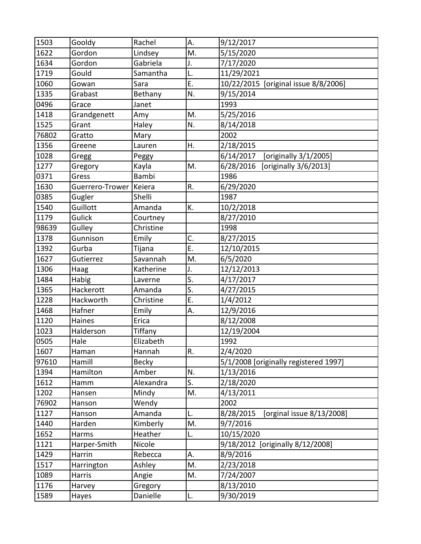| 1503  | Gooldy          | Rachel       | Α. | 9/12/2017                              |
|-------|-----------------|--------------|----|----------------------------------------|
| 1622  | Gordon          | Lindsey      | M. | 5/15/2020                              |
| 1634  | Gordon          | Gabriela     | J. | 7/17/2020                              |
| 1719  | Gould           | Samantha     | L. | 11/29/2021                             |
| 1060  | Gowan           | Sara         | E. | 10/22/2015 [original issue 8/8/2006]   |
| 1335  | Grabast         | Bethany      | N. | 9/15/2014                              |
| 0496  | Grace           | Janet        |    | 1993                                   |
| 1418  | Grandgenett     | Amy          | M. | 5/25/2016                              |
| 1525  | Grant           | Haley        | N. | 8/14/2018                              |
| 76802 | Gratto          | Mary         |    | 2002                                   |
| 1356  | Greene          | Lauren       | Η. | 2/18/2015                              |
| 1028  | Gregg           | Peggy        |    | 6/14/2017<br>[originally 3/1/2005]     |
| 1277  | Gregory         | Kayla        | M. | 6/28/2016<br>[originally 3/6/2013]     |
| 0371  | Gress           | Bambi        |    | 1986                                   |
| 1630  | Guerrero-Trower | Keiera       | R. | 6/29/2020                              |
| 0385  | Gugler          | Shelli       |    | 1987                                   |
| 1540  | Guillott        | Amanda       | K. | 10/2/2018                              |
| 1179  | Gulick          | Courtney     |    | 8/27/2010                              |
| 98639 | Gulley          | Christine    |    | 1998                                   |
| 1378  | Gunnison        | Emily        | C. | 8/27/2015                              |
| 1392  | Gurba           | Tijana       | E. | 12/10/2015                             |
| 1627  | Gutierrez       | Savannah     | M. | 6/5/2020                               |
| 1306  | Haag            | Katherine    | J. | 12/12/2013                             |
| 1484  | Habig           | Laverne      | S. | 4/17/2017                              |
| 1365  | Hackerott       | Amanda       | S. | 4/27/2015                              |
| 1228  | Hackworth       | Christine    | E. | 1/4/2012                               |
| 1468  | Hafner          | Emily        | А. | 12/9/2016                              |
| 1120  | Haines          | Erica        |    | 8/12/2008                              |
| 1023  | Halderson       | Tiffany      |    | 12/19/2004                             |
| 0505  | Hale            | Elizabeth    |    | 1992                                   |
| 1607  | Haman           | Hannah       | R. | 2/4/2020                               |
| 97610 | Hamill          | <b>Becky</b> |    | 5/1/2008 [originally registered 1997]  |
| 1394  | Hamilton        | Amber        | N. | 1/13/2016                              |
| 1612  | Hamm            | Alexandra    | S. | 2/18/2020                              |
| 1202  | Hansen          | Mindy        | M. | 4/13/2011                              |
| 76902 | Hanson          | Wendy        |    | 2002                                   |
| 1127  | Hanson          | Amanda       | L. | [orginal issue 8/13/2008]<br>8/28/2015 |
| 1440  | Harden          | Kimberly     | M. | 9/7/2016                               |
| 1652  | Harms           | Heather      | L. | 10/15/2020                             |
| 1121  | Harper-Smith    | Nicole       |    | 9/18/2012 [originally 8/12/2008]       |
| 1429  | Harrin          | Rebecca      | А. | 8/9/2016                               |
| 1517  | Harrington      | Ashley       | M. | 2/23/2018                              |
| 1089  | <b>Harris</b>   | Angie        | M. | 7/24/2007                              |
| 1176  | Harvey          | Gregory      |    | 8/13/2010                              |
| 1589  | Hayes           | Danielle     | L. | 9/30/2019                              |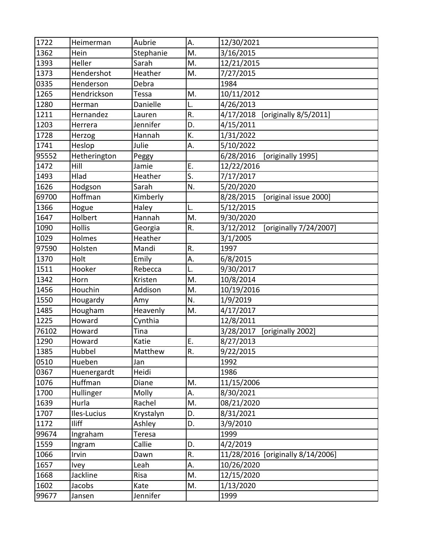| 1722  | Heimerman     | Aubrie    | А. | 12/30/2021                          |
|-------|---------------|-----------|----|-------------------------------------|
| 1362  | Hein          | Stephanie | M. | 3/16/2015                           |
| 1393  | Heller        | Sarah     | M. | 12/21/2015                          |
| 1373  | Hendershot    | Heather   | M. | 7/27/2015                           |
| 0335  | Henderson     | Debra     |    | 1984                                |
| 1265  | Hendrickson   | Tessa     | M. | 10/11/2012                          |
| 1280  | Herman        | Danielle  | L. | 4/26/2013                           |
| 1211  | Hernandez     | Lauren    | R. | 4/17/2018<br>[originally 8/5/2011]  |
| 1203  | Herrera       | Jennifer  | D. | 4/15/2011                           |
| 1728  | Herzog        | Hannah    | K. | 1/31/2022                           |
| 1741  | Heslop        | Julie     | Α. | 5/10/2022                           |
| 95552 | Hetherington  | Peggy     |    | 6/28/2016<br>[originally 1995]      |
| 1472  | Hill          | Jamie     | E. | 12/22/2016                          |
| 1493  | Hlad          | Heather   | S. | 7/17/2017                           |
| 1626  | Hodgson       | Sarah     | N. | 5/20/2020                           |
| 69700 | Hoffman       | Kimberly  |    | 8/28/2015<br>[original issue 2000]  |
| 1366  | Hogue         | Haley     | L. | 5/12/2015                           |
| 1647  | Holbert       | Hannah    | M. | 9/30/2020                           |
| 1090  | <b>Hollis</b> | Georgia   | R. | 3/12/2012<br>[originally 7/24/2007] |
| 1029  | Holmes        | Heather   |    | 3/1/2005                            |
| 97590 | Holsten       | Mandi     | R. | 1997                                |
| 1370  | Holt          | Emily     | Α. | 6/8/2015                            |
| 1511  | Hooker        | Rebecca   | L. | 9/30/2017                           |
| 1342  | Horn          | Kristen   | M. | 10/8/2014                           |
| 1456  | Houchin       | Addison   | M. | 10/19/2016                          |
| 1550  | Hougardy      | Amy       | N. | 1/9/2019                            |
| 1485  | Hougham       | Heavenly  | M. | 4/17/2017                           |
| 1225  | Howard        | Cynthia   |    | 12/8/2011                           |
| 76102 | Howard        | Tina      |    | 3/28/2017<br>[originally 2002]      |
| 1290  | Howard        | Katie     | E. | 8/27/2013                           |
| 1385  | Hubbel        | Matthew   | R. | 9/22/2015                           |
| 0510  | Hueben        | Jan       |    | 1992                                |
| 0367  | Huenergardt   | Heidi     |    | 1986                                |
| 1076  | Huffman       | Diane     | M. | 11/15/2006                          |
| 1700  | Hullinger     | Molly     | А. | 8/30/2021                           |
| 1639  | Hurla         | Rachel    | M. | 08/21/2020                          |
| 1707  | Iles-Lucius   | Krystalyn | D. | 8/31/2021                           |
| 1172  | <b>Iliff</b>  | Ashley    | D. | 3/9/2010                            |
| 99674 | Ingraham      | Teresa    |    | 1999                                |
| 1559  | Ingram        | Callie    | D. | 4/2/2019                            |
| 1066  | Irvin         | Dawn      | R. | 11/28/2016 [originally 8/14/2006]   |
| 1657  | Ivey          | Leah      | А. | 10/26/2020                          |
| 1668  | Jackline      | Risa      | M. | 12/15/2020                          |
| 1602  | Jacobs        | Kate      | M. | 1/13/2020                           |
| 99677 | Jansen        | Jennifer  |    | 1999                                |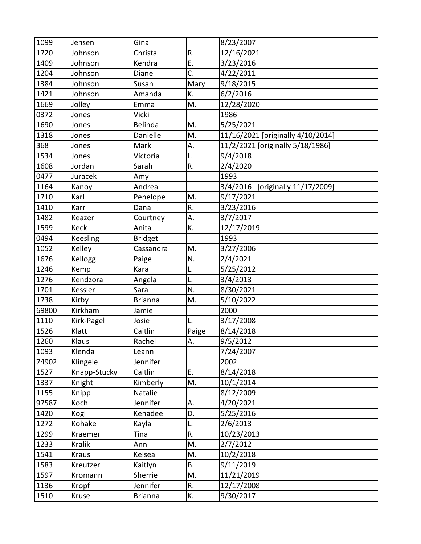| 1099  | Jensen        | Gina           |                           | 8/23/2007                         |
|-------|---------------|----------------|---------------------------|-----------------------------------|
| 1720  | Johnson       | Christa        | R.                        | 12/16/2021                        |
| 1409  | Johnson       | Kendra         | Ε.                        | 3/23/2016                         |
| 1204  | Johnson       | Diane          | $\overline{\mathsf{C}}$ . | 4/22/2011                         |
| 1384  | Johnson       | Susan          | Mary                      | 9/18/2015                         |
| 1421  | Johnson       | Amanda         | K.                        | 6/2/2016                          |
| 1669  | Jolley        | Emma           | M.                        | 12/28/2020                        |
| 0372  | Jones         | Vicki          |                           | 1986                              |
| 1690  | Jones         | Belinda        | M.                        | 5/25/2021                         |
| 1318  | Jones         | Danielle       | M.                        | 11/16/2021 [originally 4/10/2014] |
| 368   | Jones         | Mark           | Α.                        | 11/2/2021 [originally 5/18/1986]  |
| 1534  | Jones         | Victoria       | L.                        | 9/4/2018                          |
| 1608  | Jordan        | Sarah          | R.                        | 2/4/2020                          |
| 0477  | Juracek       | Amy            |                           | 1993                              |
| 1164  | Kanoy         | Andrea         |                           | 3/4/2016 [originally 11/17/2009]  |
| 1710  | Karl          | Penelope       | M.                        | 9/17/2021                         |
| 1410  | Karr          | Dana           | R.                        | 3/23/2016                         |
| 1482  | Keazer        | Courtney       | А.                        | 3/7/2017                          |
| 1599  | Keck          | Anita          | K.                        | 12/17/2019                        |
| 0494  | Keesling      | <b>Bridget</b> |                           | 1993                              |
| 1052  | Kelley        | Cassandra      | M.                        | 3/27/2006                         |
| 1676  | Kellogg       | Paige          | N.                        | 2/4/2021                          |
| 1246  | Kemp          | Kara           | L.                        | 5/25/2012                         |
| 1276  | Kendzora      | Angela         | L.                        | 3/4/2013                          |
| 1701  | Kessler       | Sara           | N.                        | 8/30/2021                         |
| 1738  | Kirby         | <b>Brianna</b> | M.                        | 5/10/2022                         |
| 69800 | Kirkham       | Jamie          |                           | 2000                              |
| 1110  | Kirk-Pagel    | Josie          | L.                        | 3/17/2008                         |
| 1526  | Klatt         | Caitlin        | Paige                     | 8/14/2018                         |
| 1260  | Klaus         | Rachel         | Α.                        | 9/5/2012                          |
| 1093  | Klenda        | Leann          |                           | 7/24/2007                         |
| 74902 | Klingele      | Jennifer       |                           | 2002                              |
| 1527  | Knapp-Stucky  | Caitlin        | E.                        | 8/14/2018                         |
| 1337  | Knight        | Kimberly       | M.                        | 10/1/2014                         |
| 1155  | Knipp         | Natalie        |                           | 8/12/2009                         |
| 97587 | Koch          | Jennifer       | А.                        | 4/20/2021                         |
| 1420  | Kogl          | Kenadee        | D.                        | 5/25/2016                         |
| 1272  | Kohake        | Kayla          | L.                        | 2/6/2013                          |
| 1299  | Kraemer       | Tina           | R.                        | 10/23/2013                        |
| 1233  | <b>Kralik</b> | Ann            | M.                        | 2/7/2012                          |
| 1541  | <b>Kraus</b>  | Kelsea         | M.                        | 10/2/2018                         |
| 1583  | Kreutzer      | Kaitlyn        | Β.                        | 9/11/2019                         |
| 1597  | Kromann       | Sherrie        | M.                        | 11/21/2019                        |
| 1136  | Kropf         | Jennifer       | R.                        | 12/17/2008                        |
| 1510  | Kruse         | <b>Brianna</b> | К.                        | 9/30/2017                         |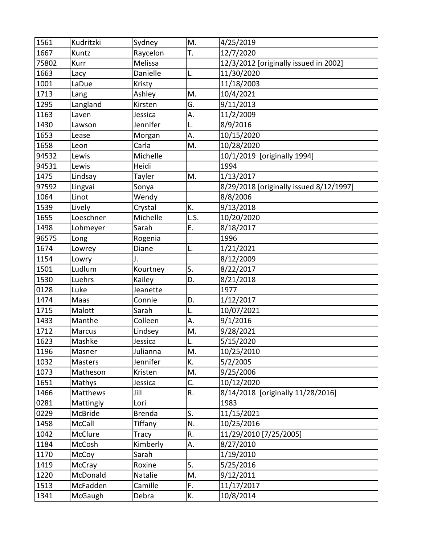| 1561  | Kudritzki | Sydney        | M.   | 4/25/2019                               |
|-------|-----------|---------------|------|-----------------------------------------|
| 1667  | Kuntz     | Raycelon      | T.   | 12/7/2020                               |
| 75802 | Kurr      | Melissa       |      | 12/3/2012 [originally issued in 2002]   |
| 1663  | Lacy      | Danielle      | L.   | 11/30/2020                              |
| 1001  | LaDue     | Kristy        |      | 11/18/2003                              |
| 1713  | Lang      | Ashley        | M.   | 10/4/2021                               |
| 1295  | Langland  | Kirsten       | G.   | 9/11/2013                               |
| 1163  | Laven     | Jessica       | Α.   | 11/2/2009                               |
| 1430  | Lawson    | Jennifer      | L.   | 8/9/2016                                |
| 1653  | Lease     | Morgan        | Α.   | 10/15/2020                              |
| 1658  | Leon      | Carla         | M.   | 10/28/2020                              |
| 94532 | Lewis     | Michelle      |      | 10/1/2019 [originally 1994]             |
| 94531 | Lewis     | Heidi         |      | 1994                                    |
| 1475  | Lindsay   | Tayler        | M.   | 1/13/2017                               |
| 97592 | Lingvai   | Sonya         |      | 8/29/2018 [originally issued 8/12/1997] |
| 1064  | Linot     | Wendy         |      | 8/8/2006                                |
| 1539  | Lively    | Crystal       | К.   | 9/13/2018                               |
| 1655  | Loeschner | Michelle      | L.S. | 10/20/2020                              |
| 1498  | Lohmeyer  | Sarah         | E.   | 8/18/2017                               |
| 96575 | Long      | Rogenia       |      | 1996                                    |
| 1674  | Lowrey    | Diane         | L.   | 1/21/2021                               |
| 1154  | Lowry     | J.            |      | 8/12/2009                               |
| 1501  | Ludlum    | Kourtney      | S.   | 8/22/2017                               |
| 1530  | Luehrs    | Kailey        | D.   | 8/21/2018                               |
| 0128  | Luke      | Jeanette      |      | 1977                                    |
| 1474  | Maas      | Connie        | D.   | 1/12/2017                               |
| 1715  | Malott    | Sarah         | L.   | 10/07/2021                              |
| 1433  | Manthe    | Colleen       | Α.   | 9/1/2016                                |
| 1712  | Marcus    | Lindsey       | M.   | 9/28/2021                               |
| 1623  | Mashke    | Jessica       | L.   | 5/15/2020                               |
| 1196  | Masner    | Julianna      | M.   | 10/25/2010                              |
| 1032  | Masters   | Jennifer      | K.   | 5/2/2005                                |
| 1073  | Matheson  | Kristen       | M.   | 9/25/2006                               |
| 1651  | Mathys    | Jessica       | C.   | 10/12/2020                              |
| 1466  | Matthews  | Jill          | R.   | 8/14/2018 [originally 11/28/2016]       |
| 0281  | Mattingly | Lori          |      | 1983                                    |
| 0229  | McBride   | <b>Brenda</b> | S.   | 11/15/2021                              |
| 1458  | McCall    | Tiffany       | N.   | 10/25/2016                              |
| 1042  | McClure   | Tracy         | R.   | 11/29/2010 [7/25/2005]                  |
| 1184  | McCosh    | Kimberly      | А.   | 8/27/2010                               |
| 1170  | McCoy     | Sarah         |      | 1/19/2010                               |
| 1419  | McCray    | Roxine        | S.   | 5/25/2016                               |
| 1220  | McDonald  | Natalie       | M.   | 9/12/2011                               |
| 1513  | McFadden  | Camille       | F.   | 11/17/2017                              |
| 1341  | McGaugh   | Debra         | К.   | 10/8/2014                               |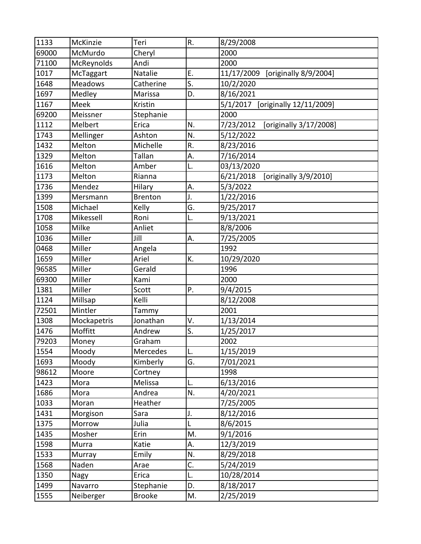| 1133  | McKinzie       | Teri           | R. | 8/29/2008                           |
|-------|----------------|----------------|----|-------------------------------------|
| 69000 | McMurdo        | Cheryl         |    | 2000                                |
| 71100 | McReynolds     | Andi           |    | 2000                                |
| 1017  | McTaggart      | Natalie        | E. | 11/17/2009<br>[originally 8/9/2004] |
| 1648  | <b>Meadows</b> | Catherine      | S. | 10/2/2020                           |
| 1697  | Medley         | Marissa        | D. | 8/16/2021                           |
| 1167  | Meek           | Kristin        |    | 5/1/2017<br>[originally 12/11/2009] |
| 69200 | Meissner       | Stephanie      |    | 2000                                |
| 1112  | Melbert        | Erica          | N. | 7/23/2012<br>[originally 3/17/2008] |
| 1743  | Mellinger      | Ashton         | N. | 5/12/2022                           |
| 1432  | Melton         | Michelle       | R. | 8/23/2016                           |
| 1329  | Melton         | Tallan         | Α. | 7/16/2014                           |
| 1616  | Melton         | Amber          | L. | 03/13/2020                          |
| 1173  | Melton         | Rianna         |    | 6/21/2018<br>[originally 3/9/2010]  |
| 1736  | Mendez         | Hilary         | А. | 5/3/2022                            |
| 1399  | Mersmann       | <b>Brenton</b> | J. | 1/22/2016                           |
| 1508  | Michael        | Kelly          | G. | 9/25/2017                           |
| 1708  | Mikessell      | Roni           | L. | 9/13/2021                           |
| 1058  | Milke          | Anliet         |    | 8/8/2006                            |
| 1036  | Miller         | Jill           | А. | 7/25/2005                           |
| 0468  | Miller         | Angela         |    | 1992                                |
| 1659  | Miller         | Ariel          | K. | 10/29/2020                          |
| 96585 | Miller         | Gerald         |    | 1996                                |
| 69300 | Miller         | Kami           |    | 2000                                |
| 1381  | Miller         | Scott          | P. | 9/4/2015                            |
| 1124  | Millsap        | Kelli          |    | 8/12/2008                           |
| 72501 | Mintler        | Tammy          |    | 2001                                |
| 1308  | Mockapetris    | Jonathan       | V. | 1/13/2014                           |
| 1476  | Moffitt        | Andrew         | S. | 1/25/2017                           |
| 79203 | Money          | Graham         |    | 2002                                |
| 1554  | Moody          | Mercedes       | L. | 1/15/2019                           |
| 1693  | Moody          | Kimberly       | G. | 7/01/2021                           |
| 98612 | Moore          | Cortney        |    | 1998                                |
| 1423  | Mora           | Melissa        | L. | 6/13/2016                           |
| 1686  | Mora           | Andrea         | N. | 4/20/2021                           |
| 1033  | Moran          | Heather        |    | 7/25/2005                           |
| 1431  | Morgison       | Sara           | J. | 8/12/2016                           |
| 1375  | Morrow         | Julia          | L  | 8/6/2015                            |
| 1435  | Mosher         | Erin           | M. | 9/1/2016                            |
| 1598  | Murra          | Katie          | Α. | 12/3/2019                           |
| 1533  | Murray         | Emily          | N. | 8/29/2018                           |
| 1568  | Naden          | Arae           | C. | 5/24/2019                           |
| 1350  | Nagy           | Erica          | L. | 10/28/2014                          |
| 1499  | Navarro        | Stephanie      | D. | 8/18/2017                           |
| 1555  | Neiberger      | <b>Brooke</b>  | M. | 2/25/2019                           |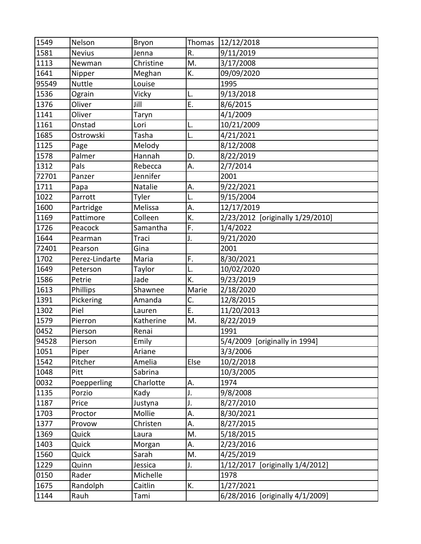| 1549  | Nelson         | Bryon     | Thomas | 12/12/2018                       |
|-------|----------------|-----------|--------|----------------------------------|
| 1581  | <b>Nevius</b>  | Jenna     | R.     | 9/11/2019                        |
| 1113  | Newman         | Christine | M.     | 3/17/2008                        |
| 1641  | Nipper         | Meghan    | K.     | 09/09/2020                       |
| 95549 | <b>Nuttle</b>  | Louise    |        | 1995                             |
| 1536  | Ograin         | Vicky     | L.     | 9/13/2018                        |
| 1376  | Oliver         | Jill      | E.     | 8/6/2015                         |
| 1141  | Oliver         | Taryn     |        | 4/1/2009                         |
| 1161  | Onstad         | Lori      | L.     | 10/21/2009                       |
| 1685  | Ostrowski      | Tasha     | L.     | 4/21/2021                        |
| 1125  | Page           | Melody    |        | 8/12/2008                        |
| 1578  | Palmer         | Hannah    | D.     | 8/22/2019                        |
| 1312  | Pals           | Rebecca   | Α.     | 2/7/2014                         |
| 72701 | Panzer         | Jennifer  |        | 2001                             |
| 1711  | Papa           | Natalie   | А.     | 9/22/2021                        |
| 1022  | Parrott        | Tyler     | L.     | 9/15/2004                        |
| 1600  | Partridge      | Melissa   | А.     | 12/17/2019                       |
| 1169  | Pattimore      | Colleen   | K.     | 2/23/2012 [originally 1/29/2010] |
| 1726  | Peacock        | Samantha  | F.     | 1/4/2022                         |
| 1644  | Pearman        | Traci     | J.     | 9/21/2020                        |
| 72401 | Pearson        | Gina      |        | 2001                             |
| 1702  | Perez-Lindarte | Maria     | F.     | 8/30/2021                        |
| 1649  | Peterson       | Taylor    | L.     | 10/02/2020                       |
| 1586  | Petrie         | Jade      | K.     | 9/23/2019                        |
| 1613  | Phillips       | Shawnee   | Marie  | 2/18/2020                        |
| 1391  | Pickering      | Amanda    | C.     | 12/8/2015                        |
| 1302  | Piel           | Lauren    | E.     | 11/20/2013                       |
| 1579  | Pierron        | Katherine | M.     | 8/22/2019                        |
| 0452  | Pierson        | Renai     |        | 1991                             |
| 94528 | Pierson        | Emily     |        | 5/4/2009 [originally in 1994]    |
| 1051  | Piper          | Ariane    |        | 3/3/2006                         |
| 1542  | Pitcher        | Amelia    | Else   | 10/2/2018                        |
| 1048  | Pitt           | Sabrina   |        | 10/3/2005                        |
| 0032  | Poepperling    | Charlotte | А.     | 1974                             |
| 1135  | Porzio         | Kady      | J.     | 9/8/2008                         |
| 1187  | Price          | Justyna   | J.     | 8/27/2010                        |
| 1703  | Proctor        | Mollie    | А.     | 8/30/2021                        |
| 1377  | Provow         | Christen  | А.     | 8/27/2015                        |
| 1369  | Quick          | Laura     | M.     | 5/18/2015                        |
| 1403  | Quick          | Morgan    | А.     | 2/23/2016                        |
| 1560  | Quick          | Sarah     | M.     | 4/25/2019                        |
| 1229  | Quinn          | Jessica   | J.     | 1/12/2017 [originally 1/4/2012]  |
| 0150  | Rader          | Michelle  |        | 1978                             |
| 1675  | Randolph       | Caitlin   | K.     | 1/27/2021                        |
| 1144  | Rauh           | Tami      |        | 6/28/2016 [originally 4/1/2009]  |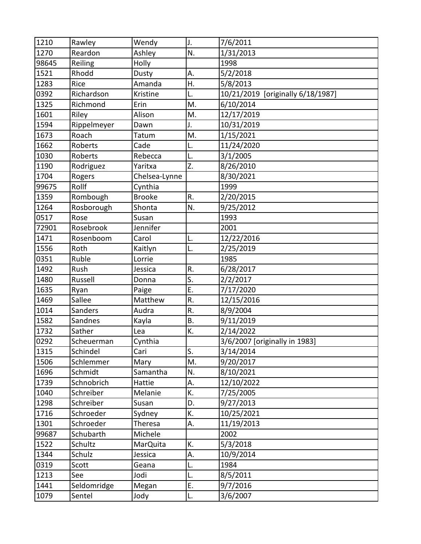| 1210  | Rawley      | Wendy           | J.        | 7/6/2011                          |
|-------|-------------|-----------------|-----------|-----------------------------------|
| 1270  | Reardon     | Ashley          | N.        | 1/31/2013                         |
| 98645 | Reiling     | <b>Holly</b>    |           | 1998                              |
| 1521  | Rhodd       | Dusty           | А.        | 5/2/2018                          |
| 1283  | Rice        | Amanda          | Η.        | 5/8/2013                          |
| 0392  | Richardson  | Kristine        | L.        | 10/21/2019 [originally 6/18/1987] |
| 1325  | Richmond    | Erin            | M.        | 6/10/2014                         |
| 1601  | Riley       | Alison          | M.        | 12/17/2019                        |
| 1594  | Rippelmeyer | Dawn            | J.        | 10/31/2019                        |
| 1673  | Roach       | Tatum           | M.        | 1/15/2021                         |
| 1662  | Roberts     | Cade            | L.        | 11/24/2020                        |
| 1030  | Roberts     | Rebecca         | L.        | 3/1/2005                          |
| 1190  | Rodriguez   | Yaritxa         | Z.        | 8/26/2010                         |
| 1704  | Rogers      | Chelsea-Lynne   |           | 8/30/2021                         |
| 99675 | Rollf       | Cynthia         |           | 1999                              |
| 1359  | Rombough    | <b>Brooke</b>   | R.        | 2/20/2015                         |
| 1264  | Rosborough  | Shonta          | N.        | 9/25/2012                         |
| 0517  | Rose        | Susan           |           | 1993                              |
| 72901 | Rosebrook   | Jennifer        |           | 2001                              |
| 1471  | Rosenboom   | Carol           | L.        | 12/22/2016                        |
| 1556  | Roth        | Kaitlyn         | L.        | 2/25/2019                         |
| 0351  | Ruble       | Lorrie          |           | 1985                              |
| 1492  | Rush        | Jessica         | R.        | 6/28/2017                         |
| 1480  | Russell     | Donna           | S.        | 2/2/2017                          |
| 1635  | Ryan        | Paige           | E.        | 7/17/2020                         |
| 1469  | Sallee      | Matthew         | R.        | 12/15/2016                        |
| 1014  | Sanders     | Audra           | R.        | 8/9/2004                          |
| 1582  | Sandnes     | Kayla           | <b>B.</b> | 9/11/2019                         |
| 1732  | Sather      | Lea             | K.        | 2/14/2022                         |
| 0292  | Scheuerman  | Cynthia         |           | 3/6/2007 [originally in 1983]     |
| 1315  | Schindel    | Cari            | S.        | 3/14/2014                         |
| 1506  | Schlemmer   | Mary            | M.        | 9/20/2017                         |
| 1696  | Schmidt     | Samantha        | N.        | 8/10/2021                         |
| 1739  | Schnobrich  | Hattie          | А.        | 12/10/2022                        |
| 1040  | Schreiber   | Melanie         | К.        | 7/25/2005                         |
| 1298  | Schreiber   | Susan           | D.        | 9/27/2013                         |
| 1716  | Schroeder   | Sydney          | K.        | 10/25/2021                        |
| 1301  | Schroeder   | Theresa         | А.        | 11/19/2013                        |
| 99687 | Schubarth   | Michele         |           | 2002                              |
| 1522  | Schultz     | <b>MarQuita</b> | K.        | 5/3/2018                          |
| 1344  | Schulz      | Jessica         | Α.        | 10/9/2014                         |
| 0319  | Scott       | Geana           | L.        | 1984                              |
| 1213  | See         | Jodi            | L.        | 8/5/2011                          |
| 1441  | Seldomridge | Megan           | E.        | 9/7/2016                          |
| 1079  | Sentel      | Jody            | L.        | 3/6/2007                          |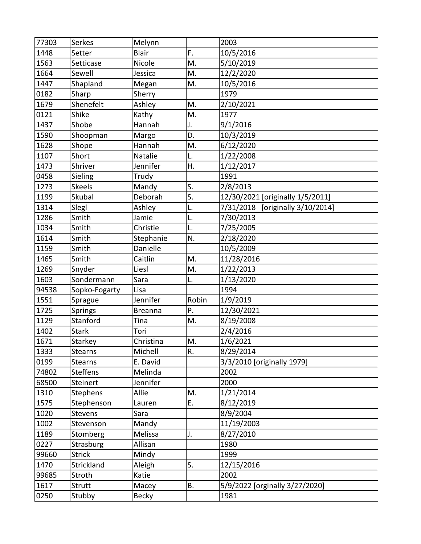| 77303 | Serkes          | Melynn         |                           | 2003                             |
|-------|-----------------|----------------|---------------------------|----------------------------------|
| 1448  | Setter          | <b>Blair</b>   | F.                        | 10/5/2016                        |
| 1563  | Setticase       | Nicole         | M.                        | 5/10/2019                        |
| 1664  | Sewell          | Jessica        | M.                        | 12/2/2020                        |
| 1447  | Shapland        | Megan          | M.                        | 10/5/2016                        |
| 0182  | Sharp           | Sherry         |                           | 1979                             |
| 1679  | Shenefelt       | Ashley         | M.                        | 2/10/2021                        |
| 0121  | Shike           | Kathy          | M.                        | 1977                             |
| 1437  | Shobe           | Hannah         | J.                        | 9/1/2016                         |
| 1590  | Shoopman        | Margo          | D.                        | 10/3/2019                        |
| 1628  | Shope           | Hannah         | M.                        | 6/12/2020                        |
| 1107  | Short           | Natalie        | L.                        | 1/22/2008                        |
| 1473  | Shriver         | Jennifer       | Η.                        | 1/12/2017                        |
| 0458  | Sieling         | Trudy          |                           | 1991                             |
| 1273  | <b>Skeels</b>   | Mandy          | S.                        | 2/8/2013                         |
| 1199  | Skubal          | Deborah        | $\overline{\mathsf{S}}$ . | 12/30/2021 [originally 1/5/2011] |
| 1314  | Slegl           | Ashley         | L.                        | 7/31/2018 [originally 3/10/2014] |
| 1286  | Smith           | Jamie          | L.                        | 7/30/2013                        |
| 1034  | Smith           | Christie       | L.                        | 7/25/2005                        |
| 1614  | Smith           | Stephanie      | N.                        | 2/18/2020                        |
| 1159  | Smith           | Danielle       |                           | 10/5/2009                        |
| 1465  | Smith           | Caitlin        | M.                        | 11/28/2016                       |
| 1269  | Snyder          | Liesl          | M.                        | 1/22/2013                        |
| 1603  | Sondermann      | Sara           | L.                        | 1/13/2020                        |
| 94538 | Sopko-Fogarty   | Lisa           |                           | 1994                             |
| 1551  | Sprague         | Jennifer       | Robin                     | 1/9/2019                         |
| 1725  | Springs         | <b>Breanna</b> | P.                        | 12/30/2021                       |
| 1129  | Stanford        | Tina           | M.                        | 8/19/2008                        |
| 1402  | <b>Stark</b>    | Tori           |                           | 2/4/2016                         |
| 1671  | Starkey         | Christina      | M.                        | 1/6/2021                         |
| 1333  | <b>Stearns</b>  | Michell        | R.                        | 8/29/2014                        |
| 0199  | <b>Stearns</b>  | E. David       |                           | 3/3/2010 [originally 1979]       |
| 74802 | <b>Steffens</b> | Melinda        |                           | 2002                             |
| 68500 | Steinert        | Jennifer       |                           | 2000                             |
| 1310  | <b>Stephens</b> | Allie          | M.                        | 1/21/2014                        |
| 1575  | Stephenson      | Lauren         | E.                        | 8/12/2019                        |
| 1020  | Stevens         | Sara           |                           | 8/9/2004                         |
| 1002  | Stevenson       | Mandy          |                           | 11/19/2003                       |
| 1189  | Stomberg        | Melissa        | J.                        | 8/27/2010                        |
| 0227  | Strasburg       | Allisan        |                           | 1980                             |
| 99660 | <b>Strick</b>   | Mindy          |                           | 1999                             |
| 1470  | Strickland      | Aleigh         | S.                        | 12/15/2016                       |
| 99685 | Stroth          | Katie          |                           | 2002                             |
| 1617  | Strutt          | Macey          | Β.                        | 5/9/2022 [orginally 3/27/2020]   |
| 0250  | Stubby          | <b>Becky</b>   |                           | 1981                             |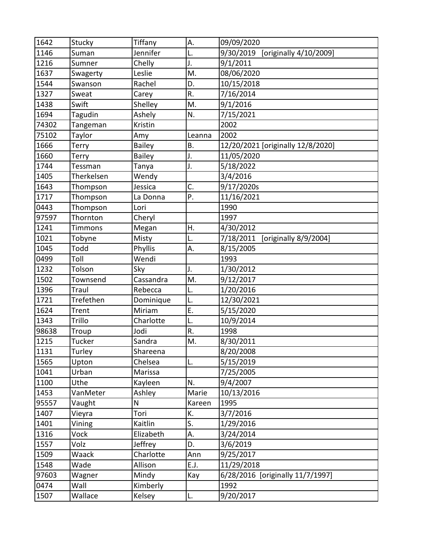| 1642  | Stucky     | Tiffany       | Α.     | 09/09/2020                          |
|-------|------------|---------------|--------|-------------------------------------|
| 1146  | Suman      | Jennifer      | L.     | 9/30/2019<br>[originally 4/10/2009] |
| 1216  | Sumner     | Chelly        | J.     | 9/1/2011                            |
| 1637  | Swagerty   | Leslie        | M.     | 08/06/2020                          |
| 1544  | Swanson    | Rachel        | D.     | 10/15/2018                          |
| 1327  | Sweat      | Carey         | R.     | 7/16/2014                           |
| 1438  | Swift      | Shelley       | M.     | 9/1/2016                            |
| 1694  | Tagudin    | Ashely        | N.     | 7/15/2021                           |
| 74302 | Tangeman   | Kristin       |        | 2002                                |
| 75102 | Taylor     | Amy           | Leanna | 2002                                |
| 1666  | Terry      | <b>Bailey</b> | Β.     | 12/20/2021 [originally 12/8/2020]   |
| 1660  | Terry      | <b>Bailey</b> | J.     | 11/05/2020                          |
| 1744  | Tessman    | Tanya         | J.     | 5/18/2022                           |
| 1405  | Therkelsen | Wendy         |        | 3/4/2016                            |
| 1643  | Thompson   | Jessica       | C.     | 9/17/2020s                          |
| 1717  | Thompson   | La Donna      | P.     | 11/16/2021                          |
| 0443  | Thompson   | Lori          |        | 1990                                |
| 97597 | Thornton   | Cheryl        |        | 1997                                |
| 1241  | Timmons    | Megan         | Η.     | 4/30/2012                           |
| 1021  | Tobyne     | Misty         | L.     | 7/18/2011<br>[originally 8/9/2004]  |
| 1045  | Todd       | Phyllis       | Α.     | 8/15/2005                           |
| 0499  | Toll       | Wendi         |        | 1993                                |
| 1232  | Tolson     | Sky           | J.     | 1/30/2012                           |
| 1502  | Townsend   | Cassandra     | M.     | 9/12/2017                           |
| 1396  | Traul      | Rebecca       | L.     | 1/20/2016                           |
| 1721  | Trefethen  | Dominique     | L.     | 12/30/2021                          |
| 1624  | Trent      | Miriam        | E.     | 5/15/2020                           |
| 1343  | Trillo     | Charlotte     | L.     | 10/9/2014                           |
| 98638 | Troup      | Jodi          | R.     | 1998                                |
| 1215  | Tucker     | Sandra        | M.     | 8/30/2011                           |
| 1131  | Turley     | Shareena      |        | 8/20/2008                           |
| 1565  | Upton      | Chelsea       | L.     | 5/15/2019                           |
| 1041  | Urban      | Marissa       |        | 7/25/2005                           |
| 1100  | Uthe       | Kayleen       | N.     | 9/4/2007                            |
| 1453  | VanMeter   | Ashley        | Marie  | 10/13/2016                          |
| 95557 | Vaught     | N             | Kareen | 1995                                |
| 1407  | Vieyra     | Tori          | К.     | 3/7/2016                            |
| 1401  | Vining     | Kaitlin       | S.     | 1/29/2016                           |
| 1316  | Vock       | Elizabeth     | А.     | 3/24/2014                           |
| 1557  | Volz       | Jeffrey       | D.     | 3/6/2019                            |
| 1509  | Waack      | Charlotte     | Ann    | 9/25/2017                           |
| 1548  | Wade       | Allison       | E.J.   | 11/29/2018                          |
| 97603 | Wagner     | Mindy         | Kay    | 6/28/2016 [originally 11/7/1997]    |
| 0474  | Wall       | Kimberly      |        | 1992                                |
| 1507  | Wallace    | Kelsey        | L.     | 9/20/2017                           |